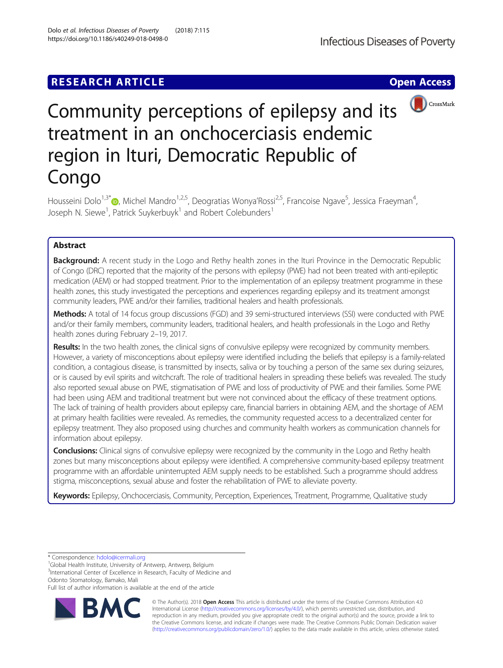# **RESEARCH ARTICLE Example 2014 12:30 The Contract of Contract ACCESS**



# Community perceptions of epilepsy and its treatment in an onchocerciasis endemic region in Ituri, Democratic Republic of Congo

Housseini Dolo<sup>1[,](http://orcid.org/0000-0002-4234-3488)3\*</sup> (@, Michel Mandro<sup>1,2,5</sup>, Deogratias Wonya'Rossi<sup>2,5</sup>, Francoise Ngave<sup>5</sup>, Jessica Fraeyman<sup>4</sup> , Joseph N. Siewe<sup>1</sup>, Patrick Suykerbuyk<sup>1</sup> and Robert Colebunders<sup>1</sup>

# Abstract

Background: A recent study in the Logo and Rethy health zones in the Ituri Province in the Democratic Republic of Congo (DRC) reported that the majority of the persons with epilepsy (PWE) had not been treated with anti-epileptic medication (AEM) or had stopped treatment. Prior to the implementation of an epilepsy treatment programme in these health zones, this study investigated the perceptions and experiences regarding epilepsy and its treatment amongst community leaders, PWE and/or their families, traditional healers and health professionals.

Methods: A total of 14 focus group discussions (FGD) and 39 semi-structured interviews (SSI) were conducted with PWE and/or their family members, community leaders, traditional healers, and health professionals in the Logo and Rethy health zones during February 2–19, 2017.

Results: In the two health zones, the clinical signs of convulsive epilepsy were recognized by community members. However, a variety of misconceptions about epilepsy were identified including the beliefs that epilepsy is a family-related condition, a contagious disease, is transmitted by insects, saliva or by touching a person of the same sex during seizures, or is caused by evil spirits and witchcraft. The role of traditional healers in spreading these beliefs was revealed. The study also reported sexual abuse on PWE, stigmatisation of PWE and loss of productivity of PWE and their families. Some PWE had been using AEM and traditional treatment but were not convinced about the efficacy of these treatment options. The lack of training of health providers about epilepsy care, financial barriers in obtaining AEM, and the shortage of AEM at primary health facilities were revealed. As remedies, the community requested access to a decentralized center for epilepsy treatment. They also proposed using churches and community health workers as communication channels for information about epilepsy.

Conclusions: Clinical signs of convulsive epilepsy were recognized by the community in the Logo and Rethy health zones but many misconceptions about epilepsy were identified. A comprehensive community-based epilepsy treatment programme with an affordable uninterrupted AEM supply needs to be established. Such a programme should address stigma, misconceptions, sexual abuse and foster the rehabilitation of PWE to alleviate poverty.

Keywords: Epilepsy, Onchocerciasis, Community, Perception, Experiences, Treatment, Programme, Qualitative study

\* Correspondence: [hdolo@icermali.org](mailto:hdolo@icermali.org) <sup>1</sup>

<sup>1</sup>Global Health Institute, University of Antwerp, Antwerp, Belgium <sup>3</sup>International Center of Excellence in Research, Faculty of Medicine and Odonto Stomatology, Bamako, Mali

Full list of author information is available at the end of the article



© The Author(s). 2018 Open Access This article is distributed under the terms of the Creative Commons Attribution 4.0 International License [\(http://creativecommons.org/licenses/by/4.0/](http://creativecommons.org/licenses/by/4.0/)), which permits unrestricted use, distribution, and reproduction in any medium, provided you give appropriate credit to the original author(s) and the source, provide a link to the Creative Commons license, and indicate if changes were made. The Creative Commons Public Domain Dedication waiver [\(http://creativecommons.org/publicdomain/zero/1.0/](http://creativecommons.org/publicdomain/zero/1.0/)) applies to the data made available in this article, unless otherwise stated.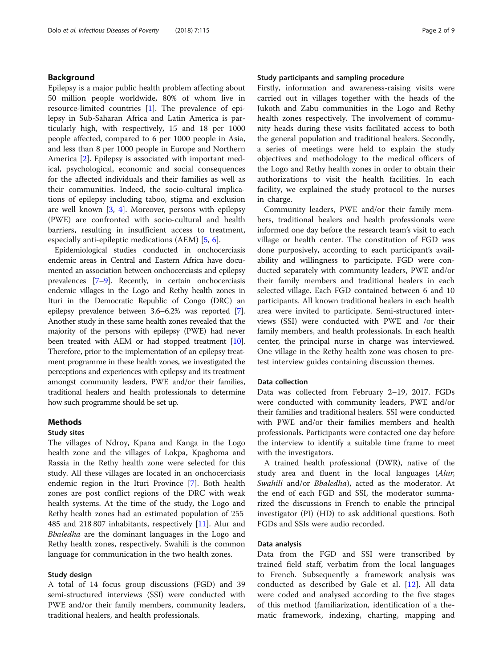# Background

Epilepsy is a major public health problem affecting about 50 million people worldwide, 80% of whom live in resource-limited countries [\[1](#page-7-0)]. The prevalence of epilepsy in Sub-Saharan Africa and Latin America is particularly high, with respectively, 15 and 18 per 1000 people affected, compared to 6 per 1000 people in Asia, and less than 8 per 1000 people in Europe and Northern America [[2\]](#page-7-0). Epilepsy is associated with important medical, psychological, economic and social consequences for the affected individuals and their families as well as their communities. Indeed, the socio-cultural implications of epilepsy including taboo, stigma and exclusion are well known [\[3,](#page-7-0) [4](#page-7-0)]. Moreover, persons with epilepsy (PWE) are confronted with socio-cultural and health barriers, resulting in insufficient access to treatment, especially anti-epileptic medications (AEM) [\[5](#page-7-0), [6](#page-7-0)].

Epidemiological studies conducted in onchocerciasis endemic areas in Central and Eastern Africa have documented an association between onchocerciasis and epilepsy prevalences [[7](#page-7-0)–[9\]](#page-7-0). Recently, in certain onchocerciasis endemic villages in the Logo and Rethy health zones in Ituri in the Democratic Republic of Congo (DRC) an epilepsy prevalence between 3.6–6.2% was reported [[7](#page-7-0)]. Another study in these same health zones revealed that the majority of the persons with epilepsy (PWE) had never been treated with AEM or had stopped treatment [\[10](#page-8-0)]. Therefore, prior to the implementation of an epilepsy treatment programme in these health zones, we investigated the perceptions and experiences with epilepsy and its treatment amongst community leaders, PWE and/or their families, traditional healers and health professionals to determine how such programme should be set up.

### Methods

### Study sites

The villages of Ndroy, Kpana and Kanga in the Logo health zone and the villages of Lokpa, Kpagboma and Rassia in the Rethy health zone were selected for this study. All these villages are located in an onchocerciasis endemic region in the Ituri Province [\[7](#page-7-0)]. Both health zones are post conflict regions of the DRC with weak health systems. At the time of the study, the Logo and Rethy health zones had an estimated population of 255 485 and 218 807 inhabitants, respectively [[11](#page-8-0)]. Alur and Bbaledha are the dominant languages in the Logo and Rethy health zones, respectively. Swahili is the common language for communication in the two health zones.

### Study design

A total of 14 focus group discussions (FGD) and 39 semi-structured interviews (SSI) were conducted with PWE and/or their family members, community leaders, traditional healers, and health professionals.

### Study participants and sampling procedure

Firstly, information and awareness-raising visits were carried out in villages together with the heads of the Jukoth and Zabu communities in the Logo and Rethy health zones respectively. The involvement of community heads during these visits facilitated access to both the general population and traditional healers. Secondly, a series of meetings were held to explain the study objectives and methodology to the medical officers of the Logo and Rethy health zones in order to obtain their authorizations to visit the health facilities. In each facility, we explained the study protocol to the nurses in charge.

Community leaders, PWE and/or their family members, traditional healers and health professionals were informed one day before the research team's visit to each village or health center. The constitution of FGD was done purposively, according to each participant's availability and willingness to participate. FGD were conducted separately with community leaders, PWE and/or their family members and traditional healers in each selected village. Each FGD contained between 6 and 10 participants. All known traditional healers in each health area were invited to participate. Semi-structured interviews (SSI) were conducted with PWE and /or their family members, and health professionals. In each health center, the principal nurse in charge was interviewed. One village in the Rethy health zone was chosen to pretest interview guides containing discussion themes.

### Data collection

Data was collected from February 2–19, 2017. FGDs were conducted with community leaders, PWE and/or their families and traditional healers. SSI were conducted with PWE and/or their families members and health professionals. Participants were contacted one day before the interview to identify a suitable time frame to meet with the investigators.

A trained health professional (DWR), native of the study area and fluent in the local languages (Alur, Swahili and/or Bbaledha), acted as the moderator. At the end of each FGD and SSI, the moderator summarized the discussions in French to enable the principal investigator (PI) (HD) to ask additional questions. Both FGDs and SSIs were audio recorded.

### Data analysis

Data from the FGD and SSI were transcribed by trained field staff, verbatim from the local languages to French. Subsequently a framework analysis was conducted as described by Gale et al. [[12\]](#page-8-0). All data were coded and analysed according to the five stages of this method (familiarization, identification of a thematic framework, indexing, charting, mapping and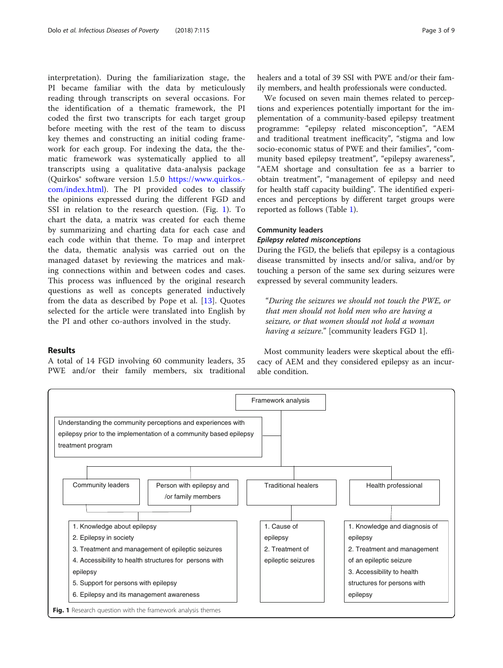interpretation). During the familiarization stage, the PI became familiar with the data by meticulously reading through transcripts on several occasions. For the identification of a thematic framework, the PI coded the first two transcripts for each target group before meeting with the rest of the team to discuss key themes and constructing an initial coding framework for each group. For indexing the data, the thematic framework was systematically applied to all transcripts using a qualitative data-analysis package (Quirkos® software version 1.5.0 [https://www.quirkos.](https://www.quirkos.com/index.html) [com/index.html\)](https://www.quirkos.com/index.html). The PI provided codes to classify the opinions expressed during the different FGD and SSI in relation to the research question. (Fig. 1). To chart the data, a matrix was created for each theme by summarizing and charting data for each case and each code within that theme. To map and interpret the data, thematic analysis was carried out on the managed dataset by reviewing the matrices and making connections within and between codes and cases. This process was influenced by the original research questions as well as concepts generated inductively from the data as described by Pope et al. [\[13](#page-8-0)]. Quotes selected for the article were translated into English by the PI and other co-authors involved in the study.

healers and a total of 39 SSI with PWE and/or their family members, and health professionals were conducted.

We focused on seven main themes related to perceptions and experiences potentially important for the implementation of a community-based epilepsy treatment programme: "epilepsy related misconception", "AEM and traditional treatment inefficacity", "stigma and low socio-economic status of PWE and their families", "community based epilepsy treatment", "epilepsy awareness", "AEM shortage and consultation fee as a barrier to obtain treatment", "management of epilepsy and need for health staff capacity building". The identified experiences and perceptions by different target groups were reported as follows (Table [1\)](#page-3-0).

### Community leaders

### Epilepsy related misconceptions

During the FGD, the beliefs that epilepsy is a contagious disease transmitted by insects and/or saliva, and/or by touching a person of the same sex during seizures were expressed by several community leaders.

"During the seizures we should not touch the PWE, or that men should not hold men who are having a seizure, or that women should not hold a woman having a seizure." [community leaders FGD 1].

### Results

A total of 14 FGD involving 60 community leaders, 35 PWE and/or their family members, six traditional

Most community leaders were skeptical about the efficacy of AEM and they considered epilepsy as an incurable condition.

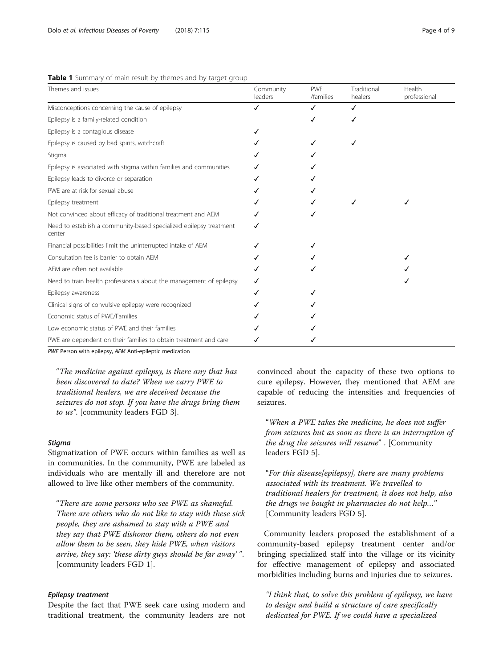| Themes and issues                                                            | Community<br>leaders | <b>PWE</b><br>/families | Traditional<br>healers | Health<br>professional |
|------------------------------------------------------------------------------|----------------------|-------------------------|------------------------|------------------------|
| Misconceptions concerning the cause of epilepsy                              |                      |                         |                        |                        |
| Epilepsy is a family-related condition                                       |                      |                         | ✓                      |                        |
| Epilepsy is a contagious disease                                             |                      |                         |                        |                        |
| Epilepsy is caused by bad spirits, witchcraft                                |                      |                         |                        |                        |
| Stigma                                                                       |                      |                         |                        |                        |
| Epilepsy is associated with stigma within families and communities           |                      |                         |                        |                        |
| Epilepsy leads to divorce or separation                                      |                      |                         |                        |                        |
| PWE are at risk for sexual abuse                                             |                      |                         |                        |                        |
| Epilepsy treatment                                                           |                      |                         |                        |                        |
| Not convinced about efficacy of traditional treatment and AEM                |                      | ✓                       |                        |                        |
| Need to establish a community-based specialized epilepsy treatment<br>center |                      |                         |                        |                        |
| Financial possibilities limit the uninterrupted intake of AEM                |                      |                         |                        |                        |
| Consultation fee is barrier to obtain AEM                                    |                      |                         |                        |                        |
| AEM are often not available                                                  |                      |                         |                        |                        |
| Need to train health professionals about the management of epilepsy          | ✓                    |                         |                        |                        |
| Epilepsy awareness                                                           |                      |                         |                        |                        |
| Clinical signs of convulsive epilepsy were recognized                        |                      |                         |                        |                        |
| Economic status of PWE/Families                                              |                      |                         |                        |                        |
| Low economic status of PWE and their families                                |                      |                         |                        |                        |
| PWE are dependent on their families to obtain treatment and care             |                      |                         |                        |                        |

### <span id="page-3-0"></span>Table 1 Summary of main result by themes and by target group

PWE Person with epilepsy, AEM Anti-epileptic medication

"The medicine against epilepsy, is there any that has been discovered to date? When we carry PWE to traditional healers, we are deceived because the seizures do not stop. If you have the drugs bring them to us". [community leaders FGD 3].

### **Stigma**

Stigmatization of PWE occurs within families as well as in communities. In the community, PWE are labeled as individuals who are mentally ill and therefore are not allowed to live like other members of the community.

"There are some persons who see PWE as shameful. There are others who do not like to stay with these sick people, they are ashamed to stay with a PWE and they say that PWE dishonor them, others do not even allow them to be seen, they hide PWE, when visitors arrive, they say: 'these dirty guys should be far away' ". [community leaders FGD 1].

# Epilepsy treatment

Despite the fact that PWE seek care using modern and traditional treatment, the community leaders are not

convinced about the capacity of these two options to cure epilepsy. However, they mentioned that AEM are capable of reducing the intensities and frequencies of seizures.

"When a PWE takes the medicine, he does not suffer from seizures but as soon as there is an interruption of the drug the seizures will resume" . [Community leaders FGD 5].

"For this disease[epilepsy], there are many problems associated with its treatment. We travelled to traditional healers for treatment, it does not help, also the drugs we bought in pharmacies do not help…" [Community leaders FGD 5].

Community leaders proposed the establishment of a community-based epilepsy treatment center and/or bringing specialized staff into the village or its vicinity for effective management of epilepsy and associated morbidities including burns and injuries due to seizures.

"I think that, to solve this problem of epilepsy, we have to design and build a structure of care specifically dedicated for PWE. If we could have a specialized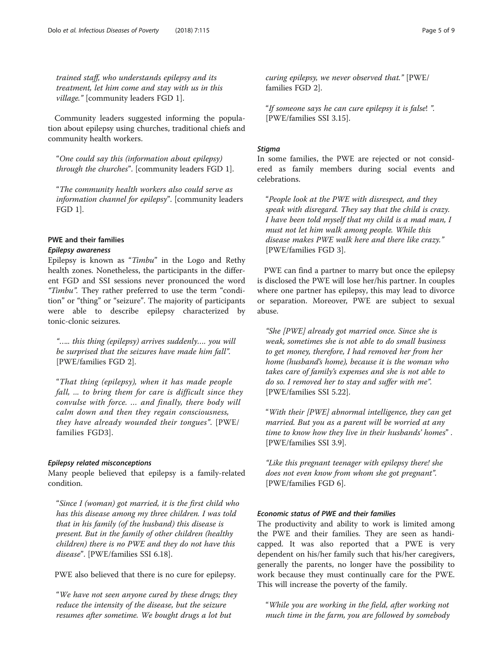trained staff, who understands epilepsy and its treatment, let him come and stay with us in this village." [community leaders FGD 1].

Community leaders suggested informing the population about epilepsy using churches, traditional chiefs and community health workers.

"One could say this (information about epilepsy) through the churches". [community leaders FGD 1].

"The community health workers also could serve as information channel for epilepsy". [community leaders FGD 1].

# PWE and their families Epilepsy awareness

Epilepsy is known as "Timbu" in the Logo and Rethy health zones. Nonetheless, the participants in the different FGD and SSI sessions never pronounced the word "Timbu". They rather preferred to use the term "condition" or "thing" or "seizure". The majority of participants were able to describe epilepsy characterized by tonic-clonic seizures.

"….. this thing (epilepsy) arrives suddenly…. you will be surprised that the seizures have made him fall". [PWE/families FGD 2].

"That thing (epilepsy), when it has made people fall, ... to bring them for care is difficult since they convulse with force. … and finally, there body will calm down and then they regain consciousness, they have already wounded their tongues". [PWE/ families FGD3].

### Epilepsy related misconceptions

Many people believed that epilepsy is a family-related condition.

"Since I (woman) got married, it is the first child who has this disease among my three children. I was told that in his family (of the husband) this disease is present. But in the family of other children (healthy children) there is no PWE and they do not have this disease". [PWE/families SSI 6.18].

PWE also believed that there is no cure for epilepsy.

"We have not seen anyone cured by these drugs; they reduce the intensity of the disease, but the seizure resumes after sometime. We bought drugs a lot but

curing epilepsy, we never observed that." [PWE/ families FGD 2].

"If someone says he can cure epilepsy it is false! ". [PWE/families SSI 3.15].

### **Stigma**

In some families, the PWE are rejected or not considered as family members during social events and celebrations.

"People look at the PWE with disrespect, and they speak with disregard. They say that the child is crazy. I have been told myself that my child is a mad man, I must not let him walk among people. While this disease makes PWE walk here and there like crazy." [PWE/families FGD 3].

PWE can find a partner to marry but once the epilepsy is disclosed the PWE will lose her/his partner. In couples where one partner has epilepsy, this may lead to divorce or separation. Moreover, PWE are subject to sexual abuse.

"She [PWE] already got married once. Since she is weak, sometimes she is not able to do small business to get money, therefore, I had removed her from her home (husband's home), because it is the woman who takes care of family's expenses and she is not able to do so. I removed her to stay and suffer with me". [PWE/families SSI 5.22].

"With their [PWE] abnormal intelligence, they can get married. But you as a parent will be worried at any time to know how they live in their husbands' homes" . [PWE/families SSI 3.9].

"Like this pregnant teenager with epilepsy there! she does not even know from whom she got pregnant". [PWE/families FGD 6].

# Economic status of PWE and their families

The productivity and ability to work is limited among the PWE and their families. They are seen as handicapped. It was also reported that a PWE is very dependent on his/her family such that his/her caregivers, generally the parents, no longer have the possibility to work because they must continually care for the PWE. This will increase the poverty of the family.

"While you are working in the field, after working not much time in the farm, you are followed by somebody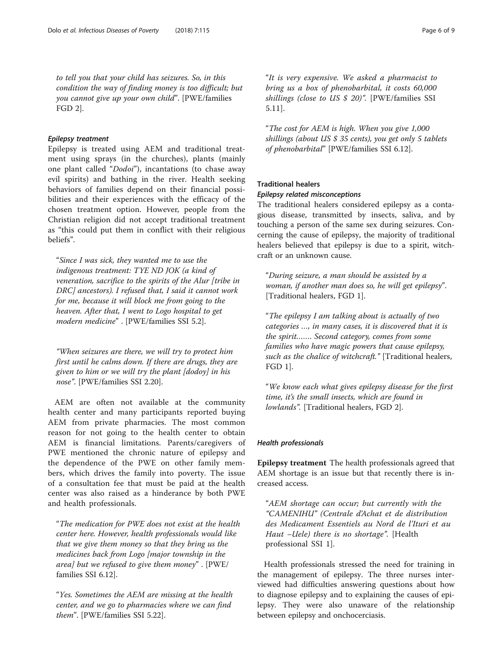to tell you that your child has seizures. So, in this condition the way of finding money is too difficult; but you cannot give up your own child". [PWE/families FGD 2].

# Epilepsy treatment

Epilepsy is treated using AEM and traditional treatment using sprays (in the churches), plants (mainly one plant called "Dodoi"), incantations (to chase away evil spirits) and bathing in the river. Health seeking behaviors of families depend on their financial possibilities and their experiences with the efficacy of the chosen treatment option. However, people from the Christian religion did not accept traditional treatment as "this could put them in conflict with their religious beliefs".

"Since I was sick, they wanted me to use the indigenous treatment: TYE ND JOK (a kind of veneration, sacrifice to the spirits of the Alur [tribe in DRC] ancestors). I refused that, I said it cannot work for me, because it will block me from going to the heaven. After that, I went to Logo hospital to get modern medicine" . [PWE/families SSI 5.2].

"When seizures are there, we will try to protect him first until he calms down. If there are drugs, they are given to him or we will try the plant [dodoy] in his nose". [PWE/families SSI 2.20].

AEM are often not available at the community health center and many participants reported buying AEM from private pharmacies. The most common reason for not going to the health center to obtain AEM is financial limitations. Parents/caregivers of PWE mentioned the chronic nature of epilepsy and the dependence of the PWE on other family members, which drives the family into poverty. The issue of a consultation fee that must be paid at the health center was also raised as a hinderance by both PWE and health professionals.

"The medication for PWE does not exist at the health center here. However, health professionals would like that we give them money so that they bring us the medicines back from Logo [major township in the area] but we refused to give them money" . [PWE/ families SSI 6.12].

"Yes. Sometimes the AEM are missing at the health center, and we go to pharmacies where we can find them". [PWE/families SSI 5.22].

"It is very expensive. We asked a pharmacist to bring us a box of phenobarbital, it costs 60,000 shillings (close to US \$ 20)". [PWE/families SSI 5.11].

"The cost for AEM is high. When you give 1,000 shillings (about US \$ 35 cents), you get only 5 tablets of phenobarbital" [PWE/families SSI 6.12].

# Traditional healers

# Epilepsy related misconceptions

The traditional healers considered epilepsy as a contagious disease, transmitted by insects, saliva, and by touching a person of the same sex during seizures. Concerning the cause of epilepsy, the majority of traditional healers believed that epilepsy is due to a spirit, witchcraft or an unknown cause.

"During seizure, a man should be assisted by a woman, if another man does so, he will get epilepsy". [Traditional healers, FGD 1].

"The epilepsy I am talking about is actually of two categories …, in many cases, it is discovered that it is the spirit……. Second category, comes from some families who have magic powers that cause epilepsy, such as the chalice of witchcraft." [Traditional healers, FGD 1].

"We know each what gives epilepsy disease for the first time, it's the small insects, which are found in lowlands". [Traditional healers, FGD 2].

### Health professionals

Epilepsy treatment The health professionals agreed that AEM shortage is an issue but that recently there is increased access.

"AEM shortage can occur; but currently with the "CAMENIHU" (Centrale d'Achat et de distribution des Medicament Essentiels au Nord de l'Ituri et au Haut –Uele) there is no shortage". [Health professional SSI 1].

Health professionals stressed the need for training in the management of epilepsy. The three nurses interviewed had difficulties answering questions about how to diagnose epilepsy and to explaining the causes of epilepsy. They were also unaware of the relationship between epilepsy and onchocerciasis.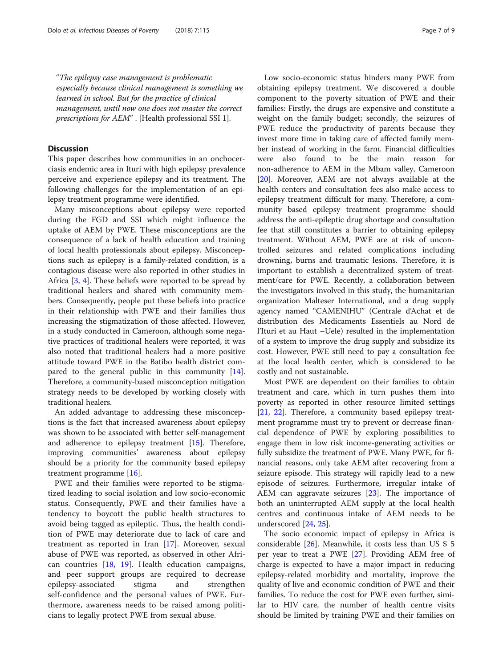"The epilepsy case management is problematic especially because clinical management is something we learned in school. But for the practice of clinical management, until now one does not master the correct prescriptions for AEM" . [Health professional SSI 1].

## **Discussion**

This paper describes how communities in an onchocerciasis endemic area in Ituri with high epilepsy prevalence perceive and experience epilepsy and its treatment. The following challenges for the implementation of an epilepsy treatment programme were identified.

Many misconceptions about epilepsy were reported during the FGD and SSI which might influence the uptake of AEM by PWE. These misconceptions are the consequence of a lack of health education and training of local health professionals about epilepsy. Misconceptions such as epilepsy is a family-related condition, is a contagious disease were also reported in other studies in Africa [[3,](#page-7-0) [4\]](#page-7-0). These beliefs were reported to be spread by traditional healers and shared with community members. Consequently, people put these beliefs into practice in their relationship with PWE and their families thus increasing the stigmatization of those affected. However, in a study conducted in Cameroon, although some negative practices of traditional healers were reported, it was also noted that traditional healers had a more positive attitude toward PWE in the Batibo health district compared to the general public in this community [\[14](#page-8-0)]. Therefore, a community-based misconception mitigation strategy needs to be developed by working closely with traditional healers.

An added advantage to addressing these misconceptions is the fact that increased awareness about epilepsy was shown to be associated with better self-management and adherence to epilepsy treatment [[15\]](#page-8-0). Therefore, improving communities' awareness about epilepsy should be a priority for the community based epilepsy treatment programme [\[16](#page-8-0)].

PWE and their families were reported to be stigmatized leading to social isolation and low socio-economic status. Consequently, PWE and their families have a tendency to boycott the public health structures to avoid being tagged as epileptic. Thus, the health condition of PWE may deteriorate due to lack of care and treatment as reported in Iran [[17\]](#page-8-0). Moreover, sexual abuse of PWE was reported, as observed in other African countries [[18,](#page-8-0) [19\]](#page-8-0). Health education campaigns, and peer support groups are required to decrease epilepsy-associated stigma and strengthen self-confidence and the personal values of PWE. Furthermore, awareness needs to be raised among politicians to legally protect PWE from sexual abuse.

Low socio-economic status hinders many PWE from obtaining epilepsy treatment. We discovered a double component to the poverty situation of PWE and their families: Firstly, the drugs are expensive and constitute a weight on the family budget; secondly, the seizures of PWE reduce the productivity of parents because they invest more time in taking care of affected family member instead of working in the farm. Financial difficulties were also found to be the main reason for non-adherence to AEM in the Mbam valley, Cameroon [[20\]](#page-8-0). Moreover, AEM are not always available at the health centers and consultation fees also make access to epilepsy treatment difficult for many. Therefore, a community based epilepsy treatment programme should address the anti-epileptic drug shortage and consultation fee that still constitutes a barrier to obtaining epilepsy treatment. Without AEM, PWE are at risk of uncontrolled seizures and related complications including drowning, burns and traumatic lesions. Therefore, it is important to establish a decentralized system of treatment/care for PWE. Recently, a collaboration between the investigators involved in this study, the humanitarian organization Malteser International, and a drug supply agency named "CAMENIHU" (Centrale d'Achat et de distribution des Medicaments Essentiels au Nord de l'Ituri et au Haut –Uele) resulted in the implementation of a system to improve the drug supply and subsidize its cost. However, PWE still need to pay a consultation fee at the local health center, which is considered to be costly and not sustainable.

Most PWE are dependent on their families to obtain treatment and care, which in turn pushes them into poverty as reported in other resource limited settings [[21,](#page-8-0) [22](#page-8-0)]. Therefore, a community based epilepsy treatment programme must try to prevent or decrease financial dependence of PWE by exploring possibilities to engage them in low risk income-generating activities or fully subsidize the treatment of PWE. Many PWE, for financial reasons, only take AEM after recovering from a seizure episode. This strategy will rapidly lead to a new episode of seizures. Furthermore, irregular intake of AEM can aggravate seizures [\[23](#page-8-0)]. The importance of both an uninterrupted AEM supply at the local health centres and continuous intake of AEM needs to be underscored [\[24](#page-8-0), [25](#page-8-0)].

The socio economic impact of epilepsy in Africa is considerable  $[26]$  $[26]$ . Meanwhile, it costs less than US \$ 5 per year to treat a PWE [[27](#page-8-0)]. Providing AEM free of charge is expected to have a major impact in reducing epilepsy-related morbidity and mortality, improve the quality of live and economic condition of PWE and their families. To reduce the cost for PWE even further, similar to HIV care, the number of health centre visits should be limited by training PWE and their families on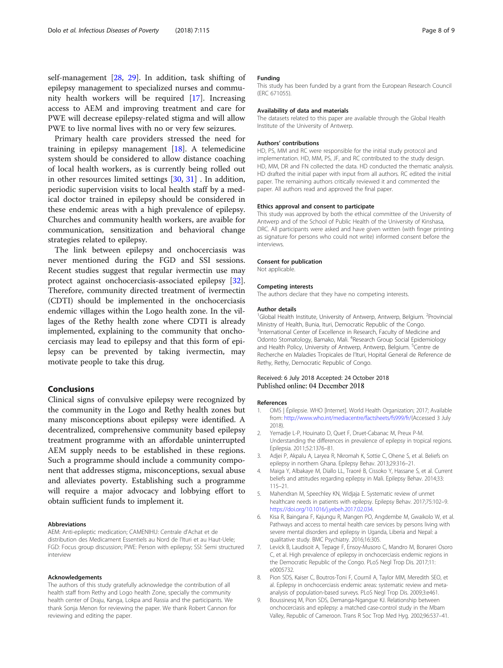<span id="page-7-0"></span>self-management [[28](#page-8-0), [29](#page-8-0)]. In addition, task shifting of epilepsy management to specialized nurses and community health workers will be required [\[17](#page-8-0)]. Increasing access to AEM and improving treatment and care for PWE will decrease epilepsy-related stigma and will allow PWE to live normal lives with no or very few seizures.

Primary health care providers stressed the need for training in epilepsy management [\[18\]](#page-8-0). A telemedicine system should be considered to allow distance coaching of local health workers, as is currently being rolled out in other resources limited settings [\[30,](#page-8-0) [31](#page-8-0)] . In addition, periodic supervision visits to local health staff by a medical doctor trained in epilepsy should be considered in these endemic areas with a high prevalence of epilepsy. Churches and community health workers, are avaible for communication, sensitization and behavioral change strategies related to epilepsy.

The link between epilepsy and onchocerciasis was never mentioned during the FGD and SSI sessions. Recent studies suggest that regular ivermectin use may protect against onchocerciasis-associated epilepsy [\[32](#page-8-0)]. Therefore, community directed treatment of ivermectin (CDTI) should be implemented in the onchocerciasis endemic villages within the Logo health zone. In the villages of the Rethy health zone where CDTI is already implemented, explaining to the community that onchocerciasis may lead to epilepsy and that this form of epilepsy can be prevented by taking ivermectin, may motivate people to take this drug.

### Conclusions

Clinical signs of convulsive epilepsy were recognized by the community in the Logo and Rethy health zones but many misconceptions about epilepsy were identified. A decentralized, comprehensive community based epilepsy treatment programme with an affordable uninterrupted AEM supply needs to be established in these regions. Such a programme should include a community component that addresses stigma, misconceptions, sexual abuse and alleviates poverty. Establishing such a programme will require a major advocacy and lobbying effort to obtain sufficient funds to implement it.

### Abbreviations

AEM: Anti-epileptic medication; CAMENIHU: Centrale d'Achat et de distribution des Medicament Essentiels au Nord de l'Ituri et au Haut-Uele; FGD: Focus group discussion; PWE: Person with epilepsy; SSI: Semi structured interview

#### Acknowledgements

The authors of this study gratefully acknowledge the contribution of all health staff from Rethy and Logo health Zone, specially the community health center of Draju, Kanga, Lokpa and Rassia and the participants. We thank Sonja Menon for reviewing the paper. We thank Robert Cannon for reviewing and editing the paper.

### Funding

This study has been funded by a grant from the European Research Council (ERC 671055).

### Availability of data and materials

The datasets related to this paper are available through the Global Health Institute of the University of Antwerp.

#### Authors' contributions

HD, PS, MM and RC were responsible for the initial study protocol and implementation. HD, MM, PS, JF, and RC contributed to the study design. HD, MM, DR and FN collected the data. HD conducted the thematic analysis. HD drafted the initial paper with input from all authors. RC edited the initial paper. The remaining authors critically reviewed it and commented the paper. All authors read and approved the final paper.

### Ethics approval and consent to participate

This study was approved by both the ethical committee of the University of Antwerp and of the School of Public Health of the University of Kinshasa, DRC. All participants were asked and have given written (with finger printing as signature for persons who could not write) informed consent before the interviews.

### Consent for publication

Not applicable.

### Competing interests

The authors declare that they have no competing interests.

### Author details

<sup>1</sup>Global Health Institute, University of Antwerp, Antwerp, Belgium. <sup>2</sup>Provincial Ministry of Health, Bunia, Ituri, Democratic Republic of the Congo. <sup>3</sup>International Center of Excellence in Research, Faculty of Medicine and Odonto Stomatology, Bamako, Mali. <sup>4</sup>Research Group Social Epidemiology and Health Policy, University of Antwerp, Antwerp, Belgium. <sup>5</sup>Centre de Recherche en Maladies Tropicales de l'Ituri, Hopital General de Reference de Rethy, Rethy, Democratic Republic of Congo.

# Received: 6 July 2018 Accepted: 24 October 2018

#### References

- 1. OMS | Épilepsie. WHO [Internet]. World Health Organization; 2017; Available from: <http://www.who.int/mediacentre/factsheets/fs999/fr/>(Accessed 3 July 2018).
- 2. Yemadje L-P, Houinato D, Quet F, Druet-Cabanac M, Preux P-M. Understanding the differences in prevalence of epilepsy in tropical regions. Epilepsia. 2011;52:1376–81.
- 3. Adjei P, Akpalu A, Laryea R, Nkromah K, Sottie C, Ohene S, et al. Beliefs on epilepsy in northern Ghana. Epilepsy Behav. 2013;29:316–21.
- 4. Maiga Y, Albakaye M, Diallo LL, Traoré B, Cissoko Y, Hassane S, et al. Current beliefs and attitudes regarding epilepsy in Mali. Epilepsy Behav. 2014;33: 115–21.
- 5. Mahendran M, Speechley KN, Widjaja E. Systematic review of unmet healthcare needs in patients with epilepsy. Epilepsy Behav. 2017;75:102–9. <https://doi.org/10.1016/j.yebeh.2017.02.034>.
- 6. Kisa R, Baingana F, Kajungu R, Mangen PO, Angdembe M, Gwaikolo W, et al. Pathways and access to mental health care services by persons living with severe mental disorders and epilepsy in Uganda, Liberia and Nepal: a qualitative study. BMC Psychiatry. 2016;16:305.
- 7. Levick B, Laudisoit A, Tepage F, Ensoy-Musoro C, Mandro M, Bonareri Osoro C, et al. High prevalence of epilepsy in onchocerciasis endemic regions in the Democratic Republic of the Congo. PLoS Negl Trop Dis. 2017;11: e0005732.
- 8. Pion SDS, Kaiser C, Boutros-Toni F, Cournil A, Taylor MM, Meredith SEO, et al. Epilepsy in onchocerciasis endemic areas: systematic review and metaanalysis of population-based surveys. PLoS Negl Trop Dis. 2009;3:e461.
- 9. Boussinesq M, Pion SDS, Demanga-Ngangue KJ. Relationship between onchocerciasis and epilepsy: a matched case-control study in the Mbam Valley, Republic of Cameroon. Trans R Soc Trop Med Hyg. 2002;96:537–41.